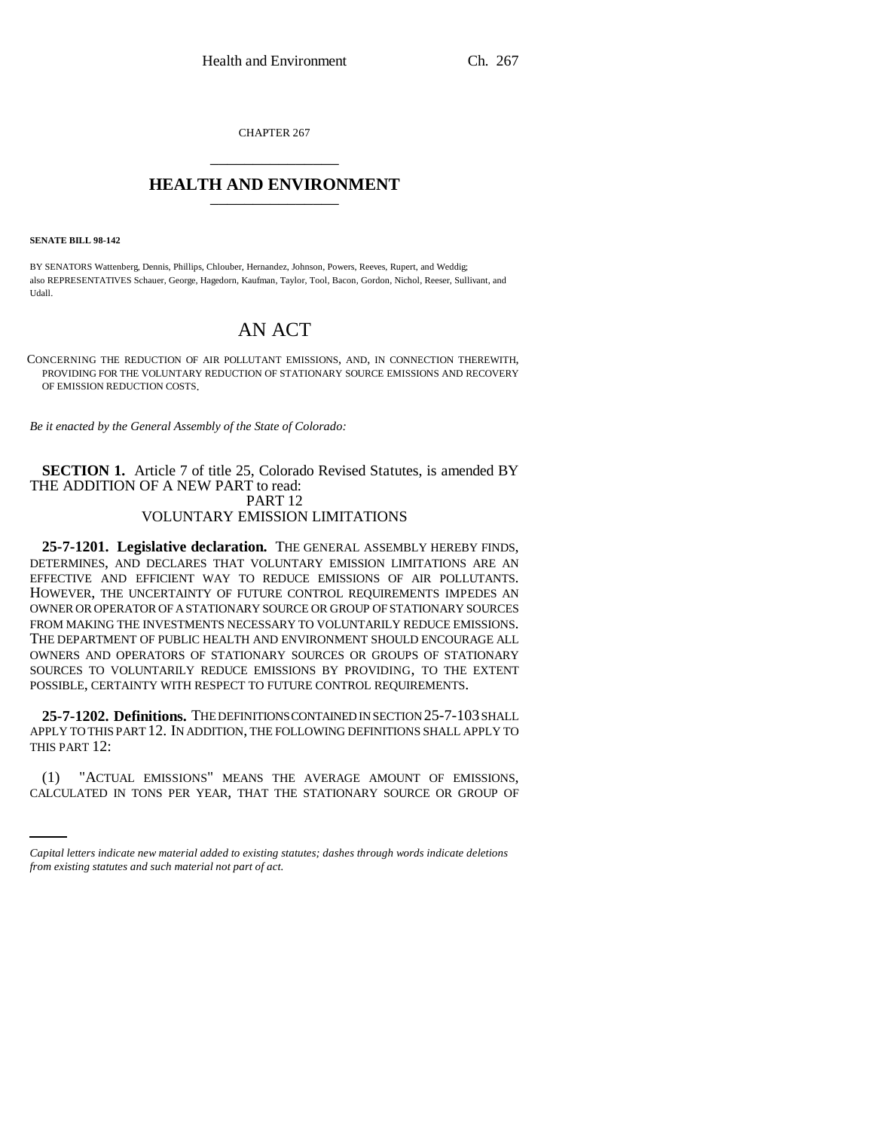CHAPTER 267 \_\_\_\_\_\_\_\_\_\_\_\_\_\_\_

## **HEALTH AND ENVIRONMENT** \_\_\_\_\_\_\_\_\_\_\_\_\_\_\_

**SENATE BILL 98-142**

BY SENATORS Wattenberg, Dennis, Phillips, Chlouber, Hernandez, Johnson, Powers, Reeves, Rupert, and Weddig; also REPRESENTATIVES Schauer, George, Hagedorn, Kaufman, Taylor, Tool, Bacon, Gordon, Nichol, Reeser, Sullivant, and Udall.

# AN ACT

CONCERNING THE REDUCTION OF AIR POLLUTANT EMISSIONS, AND, IN CONNECTION THEREWITH, PROVIDING FOR THE VOLUNTARY REDUCTION OF STATIONARY SOURCE EMISSIONS AND RECOVERY OF EMISSION REDUCTION COSTS.

*Be it enacted by the General Assembly of the State of Colorado:*

### **SECTION 1.** Article 7 of title 25, Colorado Revised Statutes, is amended BY THE ADDITION OF A NEW PART to read: PART 12 VOLUNTARY EMISSION LIMITATIONS

**25-7-1201. Legislative declaration.** THE GENERAL ASSEMBLY HEREBY FINDS, DETERMINES, AND DECLARES THAT VOLUNTARY EMISSION LIMITATIONS ARE AN EFFECTIVE AND EFFICIENT WAY TO REDUCE EMISSIONS OF AIR POLLUTANTS. HOWEVER, THE UNCERTAINTY OF FUTURE CONTROL REQUIREMENTS IMPEDES AN OWNER OR OPERATOR OF A STATIONARY SOURCE OR GROUP OF STATIONARY SOURCES FROM MAKING THE INVESTMENTS NECESSARY TO VOLUNTARILY REDUCE EMISSIONS. THE DEPARTMENT OF PUBLIC HEALTH AND ENVIRONMENT SHOULD ENCOURAGE ALL OWNERS AND OPERATORS OF STATIONARY SOURCES OR GROUPS OF STATIONARY SOURCES TO VOLUNTARILY REDUCE EMISSIONS BY PROVIDING, TO THE EXTENT POSSIBLE, CERTAINTY WITH RESPECT TO FUTURE CONTROL REQUIREMENTS.

**25-7-1202. Definitions.** THE DEFINITIONS CONTAINED IN SECTION 25-7-103 SHALL APPLY TO THIS PART 12. IN ADDITION, THE FOLLOWING DEFINITIONS SHALL APPLY TO THIS PART 12:

 (1) "ACTUAL EMISSIONS" MEANS THE AVERAGE AMOUNT OF EMISSIONS, CALCULATED IN TONS PER YEAR, THAT THE STATIONARY SOURCE OR GROUP OF

*Capital letters indicate new material added to existing statutes; dashes through words indicate deletions from existing statutes and such material not part of act.*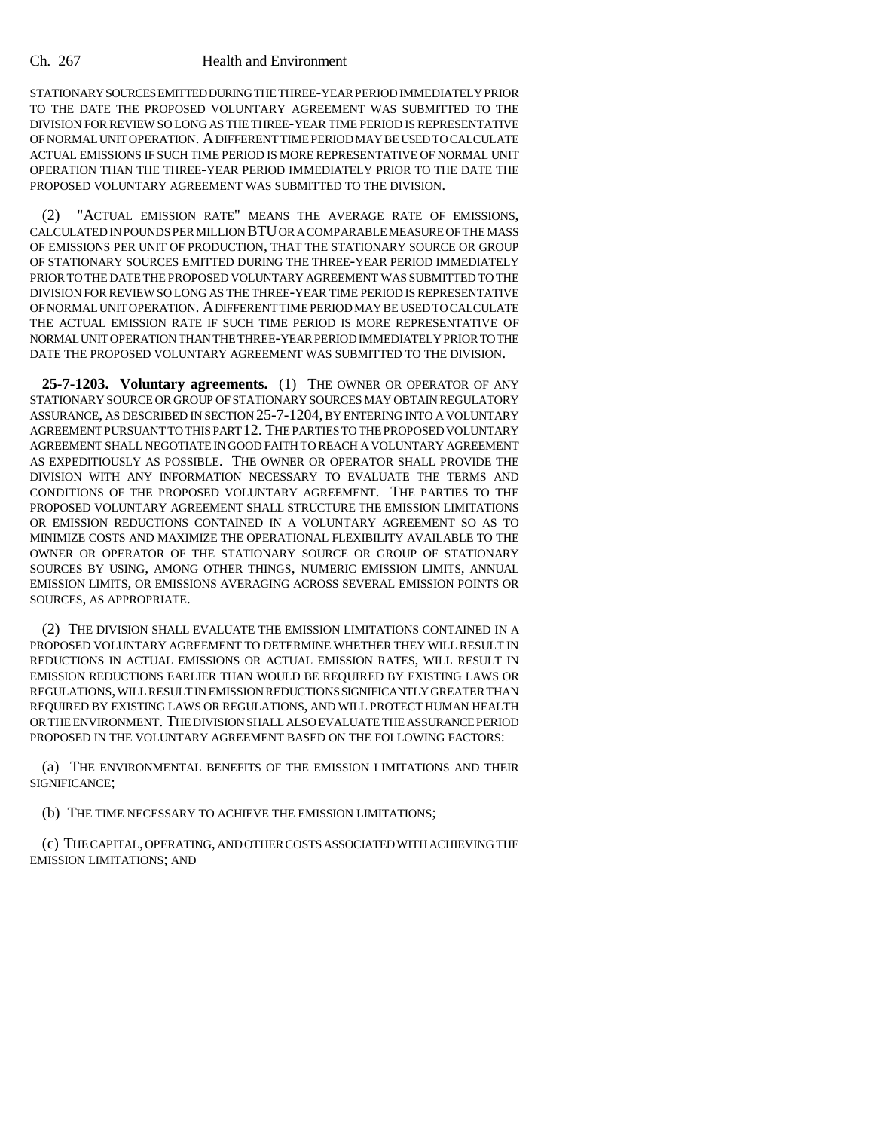#### Ch. 267 Health and Environment

STATIONARY SOURCES EMITTED DURING THE THREE-YEAR PERIOD IMMEDIATELY PRIOR TO THE DATE THE PROPOSED VOLUNTARY AGREEMENT WAS SUBMITTED TO THE DIVISION FOR REVIEW SO LONG AS THE THREE-YEAR TIME PERIOD IS REPRESENTATIVE OF NORMAL UNIT OPERATION. A DIFFERENT TIME PERIOD MAY BE USED TO CALCULATE ACTUAL EMISSIONS IF SUCH TIME PERIOD IS MORE REPRESENTATIVE OF NORMAL UNIT OPERATION THAN THE THREE-YEAR PERIOD IMMEDIATELY PRIOR TO THE DATE THE PROPOSED VOLUNTARY AGREEMENT WAS SUBMITTED TO THE DIVISION.

(2) "ACTUAL EMISSION RATE" MEANS THE AVERAGE RATE OF EMISSIONS, CALCULATED IN POUNDS PER MILLION BTU OR A COMPARABLE MEASURE OF THE MASS OF EMISSIONS PER UNIT OF PRODUCTION, THAT THE STATIONARY SOURCE OR GROUP OF STATIONARY SOURCES EMITTED DURING THE THREE-YEAR PERIOD IMMEDIATELY PRIOR TO THE DATE THE PROPOSED VOLUNTARY AGREEMENT WAS SUBMITTED TO THE DIVISION FOR REVIEW SO LONG AS THE THREE-YEAR TIME PERIOD IS REPRESENTATIVE OF NORMAL UNIT OPERATION. A DIFFERENT TIME PERIOD MAY BE USED TO CALCULATE THE ACTUAL EMISSION RATE IF SUCH TIME PERIOD IS MORE REPRESENTATIVE OF NORMAL UNIT OPERATION THAN THE THREE-YEAR PERIOD IMMEDIATELY PRIOR TO THE DATE THE PROPOSED VOLUNTARY AGREEMENT WAS SUBMITTED TO THE DIVISION.

**25-7-1203. Voluntary agreements.** (1) THE OWNER OR OPERATOR OF ANY STATIONARY SOURCE OR GROUP OF STATIONARY SOURCES MAY OBTAIN REGULATORY ASSURANCE, AS DESCRIBED IN SECTION 25-7-1204, BY ENTERING INTO A VOLUNTARY AGREEMENT PURSUANT TO THIS PART 12. THE PARTIES TO THE PROPOSED VOLUNTARY AGREEMENT SHALL NEGOTIATE IN GOOD FAITH TO REACH A VOLUNTARY AGREEMENT AS EXPEDITIOUSLY AS POSSIBLE. THE OWNER OR OPERATOR SHALL PROVIDE THE DIVISION WITH ANY INFORMATION NECESSARY TO EVALUATE THE TERMS AND CONDITIONS OF THE PROPOSED VOLUNTARY AGREEMENT. THE PARTIES TO THE PROPOSED VOLUNTARY AGREEMENT SHALL STRUCTURE THE EMISSION LIMITATIONS OR EMISSION REDUCTIONS CONTAINED IN A VOLUNTARY AGREEMENT SO AS TO MINIMIZE COSTS AND MAXIMIZE THE OPERATIONAL FLEXIBILITY AVAILABLE TO THE OWNER OR OPERATOR OF THE STATIONARY SOURCE OR GROUP OF STATIONARY SOURCES BY USING, AMONG OTHER THINGS, NUMERIC EMISSION LIMITS, ANNUAL EMISSION LIMITS, OR EMISSIONS AVERAGING ACROSS SEVERAL EMISSION POINTS OR SOURCES, AS APPROPRIATE.

(2) THE DIVISION SHALL EVALUATE THE EMISSION LIMITATIONS CONTAINED IN A PROPOSED VOLUNTARY AGREEMENT TO DETERMINE WHETHER THEY WILL RESULT IN REDUCTIONS IN ACTUAL EMISSIONS OR ACTUAL EMISSION RATES, WILL RESULT IN EMISSION REDUCTIONS EARLIER THAN WOULD BE REQUIRED BY EXISTING LAWS OR REGULATIONS, WILL RESULT IN EMISSION REDUCTIONS SIGNIFICANTLY GREATER THAN REQUIRED BY EXISTING LAWS OR REGULATIONS, AND WILL PROTECT HUMAN HEALTH OR THE ENVIRONMENT. THE DIVISION SHALL ALSO EVALUATE THE ASSURANCE PERIOD PROPOSED IN THE VOLUNTARY AGREEMENT BASED ON THE FOLLOWING FACTORS:

(a) THE ENVIRONMENTAL BENEFITS OF THE EMISSION LIMITATIONS AND THEIR SIGNIFICANCE;

(b) THE TIME NECESSARY TO ACHIEVE THE EMISSION LIMITATIONS;

(c) THE CAPITAL, OPERATING, AND OTHER COSTS ASSOCIATED WITH ACHIEVING THE EMISSION LIMITATIONS; AND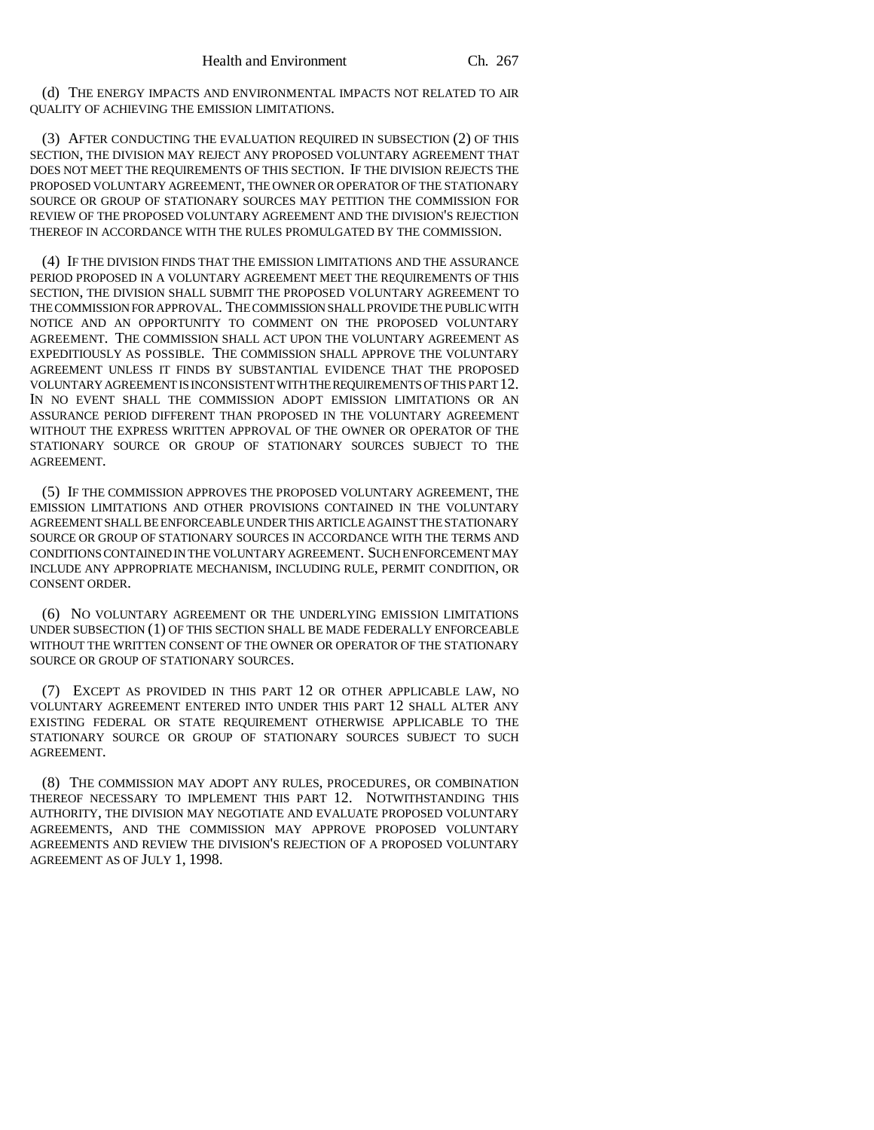(d) THE ENERGY IMPACTS AND ENVIRONMENTAL IMPACTS NOT RELATED TO AIR QUALITY OF ACHIEVING THE EMISSION LIMITATIONS.

(3) AFTER CONDUCTING THE EVALUATION REQUIRED IN SUBSECTION (2) OF THIS SECTION, THE DIVISION MAY REJECT ANY PROPOSED VOLUNTARY AGREEMENT THAT DOES NOT MEET THE REQUIREMENTS OF THIS SECTION. IF THE DIVISION REJECTS THE PROPOSED VOLUNTARY AGREEMENT, THE OWNER OR OPERATOR OF THE STATIONARY SOURCE OR GROUP OF STATIONARY SOURCES MAY PETITION THE COMMISSION FOR REVIEW OF THE PROPOSED VOLUNTARY AGREEMENT AND THE DIVISION'S REJECTION THEREOF IN ACCORDANCE WITH THE RULES PROMULGATED BY THE COMMISSION.

(4) IF THE DIVISION FINDS THAT THE EMISSION LIMITATIONS AND THE ASSURANCE PERIOD PROPOSED IN A VOLUNTARY AGREEMENT MEET THE REQUIREMENTS OF THIS SECTION, THE DIVISION SHALL SUBMIT THE PROPOSED VOLUNTARY AGREEMENT TO THE COMMISSION FOR APPROVAL. THE COMMISSION SHALL PROVIDE THE PUBLIC WITH NOTICE AND AN OPPORTUNITY TO COMMENT ON THE PROPOSED VOLUNTARY AGREEMENT. THE COMMISSION SHALL ACT UPON THE VOLUNTARY AGREEMENT AS EXPEDITIOUSLY AS POSSIBLE. THE COMMISSION SHALL APPROVE THE VOLUNTARY AGREEMENT UNLESS IT FINDS BY SUBSTANTIAL EVIDENCE THAT THE PROPOSED VOLUNTARY AGREEMENT IS INCONSISTENT WITH THE REQUIREMENTS OF THIS PART 12. IN NO EVENT SHALL THE COMMISSION ADOPT EMISSION LIMITATIONS OR AN ASSURANCE PERIOD DIFFERENT THAN PROPOSED IN THE VOLUNTARY AGREEMENT WITHOUT THE EXPRESS WRITTEN APPROVAL OF THE OWNER OR OPERATOR OF THE STATIONARY SOURCE OR GROUP OF STATIONARY SOURCES SUBJECT TO THE AGREEMENT.

(5) IF THE COMMISSION APPROVES THE PROPOSED VOLUNTARY AGREEMENT, THE EMISSION LIMITATIONS AND OTHER PROVISIONS CONTAINED IN THE VOLUNTARY AGREEMENT SHALL BE ENFORCEABLE UNDER THIS ARTICLE AGAINST THE STATIONARY SOURCE OR GROUP OF STATIONARY SOURCES IN ACCORDANCE WITH THE TERMS AND CONDITIONS CONTAINED IN THE VOLUNTARY AGREEMENT. SUCH ENFORCEMENT MAY INCLUDE ANY APPROPRIATE MECHANISM, INCLUDING RULE, PERMIT CONDITION, OR CONSENT ORDER.

(6) NO VOLUNTARY AGREEMENT OR THE UNDERLYING EMISSION LIMITATIONS UNDER SUBSECTION (1) OF THIS SECTION SHALL BE MADE FEDERALLY ENFORCEABLE WITHOUT THE WRITTEN CONSENT OF THE OWNER OR OPERATOR OF THE STATIONARY SOURCE OR GROUP OF STATIONARY SOURCES.

(7) EXCEPT AS PROVIDED IN THIS PART 12 OR OTHER APPLICABLE LAW, NO VOLUNTARY AGREEMENT ENTERED INTO UNDER THIS PART 12 SHALL ALTER ANY EXISTING FEDERAL OR STATE REQUIREMENT OTHERWISE APPLICABLE TO THE STATIONARY SOURCE OR GROUP OF STATIONARY SOURCES SUBJECT TO SUCH AGREEMENT.

(8) THE COMMISSION MAY ADOPT ANY RULES, PROCEDURES, OR COMBINATION THEREOF NECESSARY TO IMPLEMENT THIS PART 12. NOTWITHSTANDING THIS AUTHORITY, THE DIVISION MAY NEGOTIATE AND EVALUATE PROPOSED VOLUNTARY AGREEMENTS, AND THE COMMISSION MAY APPROVE PROPOSED VOLUNTARY AGREEMENTS AND REVIEW THE DIVISION'S REJECTION OF A PROPOSED VOLUNTARY AGREEMENT AS OF JULY 1, 1998.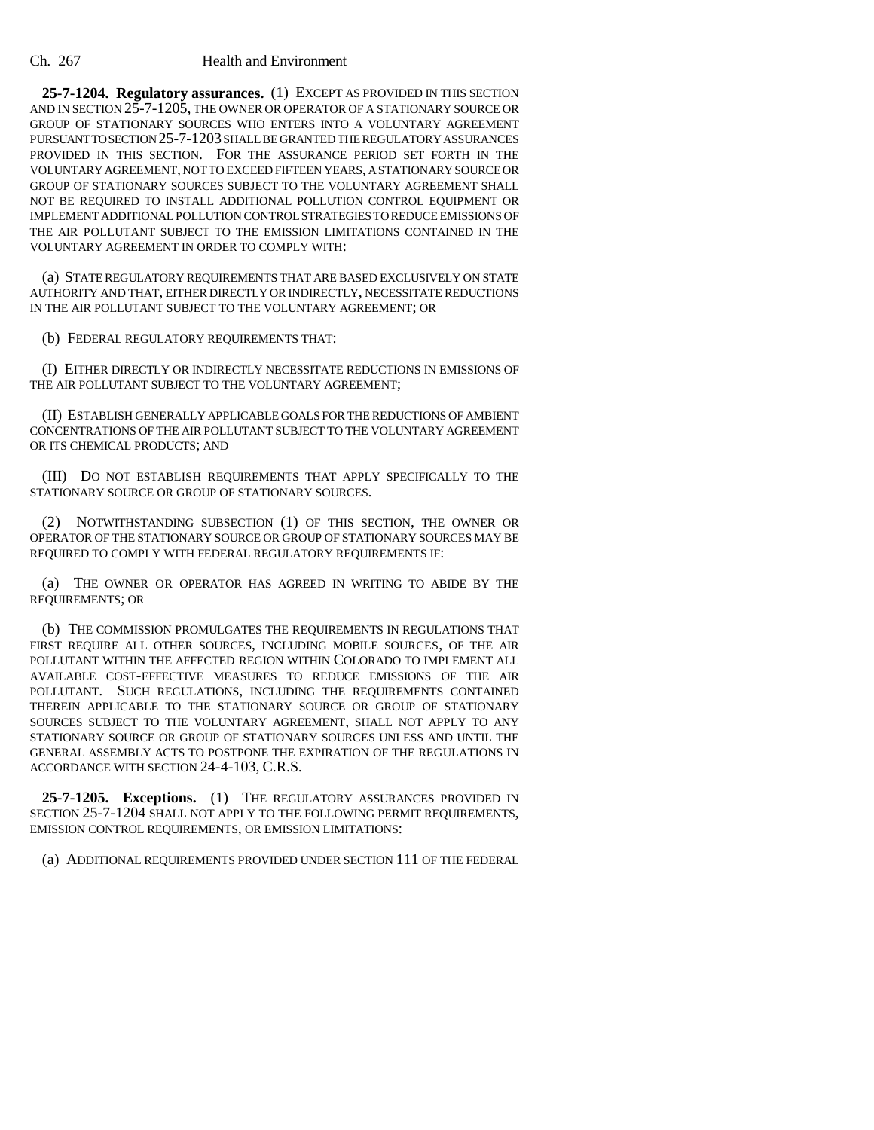**25-7-1204. Regulatory assurances.** (1) EXCEPT AS PROVIDED IN THIS SECTION AND IN SECTION 25-7-1205, THE OWNER OR OPERATOR OF A STATIONARY SOURCE OR GROUP OF STATIONARY SOURCES WHO ENTERS INTO A VOLUNTARY AGREEMENT PURSUANT TO SECTION 25-7-1203 SHALL BE GRANTED THE REGULATORY ASSURANCES PROVIDED IN THIS SECTION. FOR THE ASSURANCE PERIOD SET FORTH IN THE VOLUNTARY AGREEMENT, NOT TO EXCEED FIFTEEN YEARS, A STATIONARY SOURCE OR GROUP OF STATIONARY SOURCES SUBJECT TO THE VOLUNTARY AGREEMENT SHALL NOT BE REQUIRED TO INSTALL ADDITIONAL POLLUTION CONTROL EQUIPMENT OR IMPLEMENT ADDITIONAL POLLUTION CONTROL STRATEGIES TO REDUCE EMISSIONS OF THE AIR POLLUTANT SUBJECT TO THE EMISSION LIMITATIONS CONTAINED IN THE VOLUNTARY AGREEMENT IN ORDER TO COMPLY WITH:

(a) STATE REGULATORY REQUIREMENTS THAT ARE BASED EXCLUSIVELY ON STATE AUTHORITY AND THAT, EITHER DIRECTLY OR INDIRECTLY, NECESSITATE REDUCTIONS IN THE AIR POLLUTANT SUBJECT TO THE VOLUNTARY AGREEMENT; OR

(b) FEDERAL REGULATORY REQUIREMENTS THAT:

(I) EITHER DIRECTLY OR INDIRECTLY NECESSITATE REDUCTIONS IN EMISSIONS OF THE AIR POLLUTANT SUBJECT TO THE VOLUNTARY AGREEMENT;

(II) ESTABLISH GENERALLY APPLICABLE GOALS FOR THE REDUCTIONS OF AMBIENT CONCENTRATIONS OF THE AIR POLLUTANT SUBJECT TO THE VOLUNTARY AGREEMENT OR ITS CHEMICAL PRODUCTS; AND

(III) DO NOT ESTABLISH REQUIREMENTS THAT APPLY SPECIFICALLY TO THE STATIONARY SOURCE OR GROUP OF STATIONARY SOURCES.

(2) NOTWITHSTANDING SUBSECTION (1) OF THIS SECTION, THE OWNER OR OPERATOR OF THE STATIONARY SOURCE OR GROUP OF STATIONARY SOURCES MAY BE REQUIRED TO COMPLY WITH FEDERAL REGULATORY REQUIREMENTS IF:

(a) THE OWNER OR OPERATOR HAS AGREED IN WRITING TO ABIDE BY THE REQUIREMENTS; OR

(b) THE COMMISSION PROMULGATES THE REQUIREMENTS IN REGULATIONS THAT FIRST REQUIRE ALL OTHER SOURCES, INCLUDING MOBILE SOURCES, OF THE AIR POLLUTANT WITHIN THE AFFECTED REGION WITHIN COLORADO TO IMPLEMENT ALL AVAILABLE COST-EFFECTIVE MEASURES TO REDUCE EMISSIONS OF THE AIR POLLUTANT. SUCH REGULATIONS, INCLUDING THE REQUIREMENTS CONTAINED THEREIN APPLICABLE TO THE STATIONARY SOURCE OR GROUP OF STATIONARY SOURCES SUBJECT TO THE VOLUNTARY AGREEMENT, SHALL NOT APPLY TO ANY STATIONARY SOURCE OR GROUP OF STATIONARY SOURCES UNLESS AND UNTIL THE GENERAL ASSEMBLY ACTS TO POSTPONE THE EXPIRATION OF THE REGULATIONS IN ACCORDANCE WITH SECTION 24-4-103, C.R.S.

**25-7-1205. Exceptions.** (1) THE REGULATORY ASSURANCES PROVIDED IN SECTION 25-7-1204 SHALL NOT APPLY TO THE FOLLOWING PERMIT REQUIREMENTS, EMISSION CONTROL REQUIREMENTS, OR EMISSION LIMITATIONS:

(a) ADDITIONAL REQUIREMENTS PROVIDED UNDER SECTION 111 OF THE FEDERAL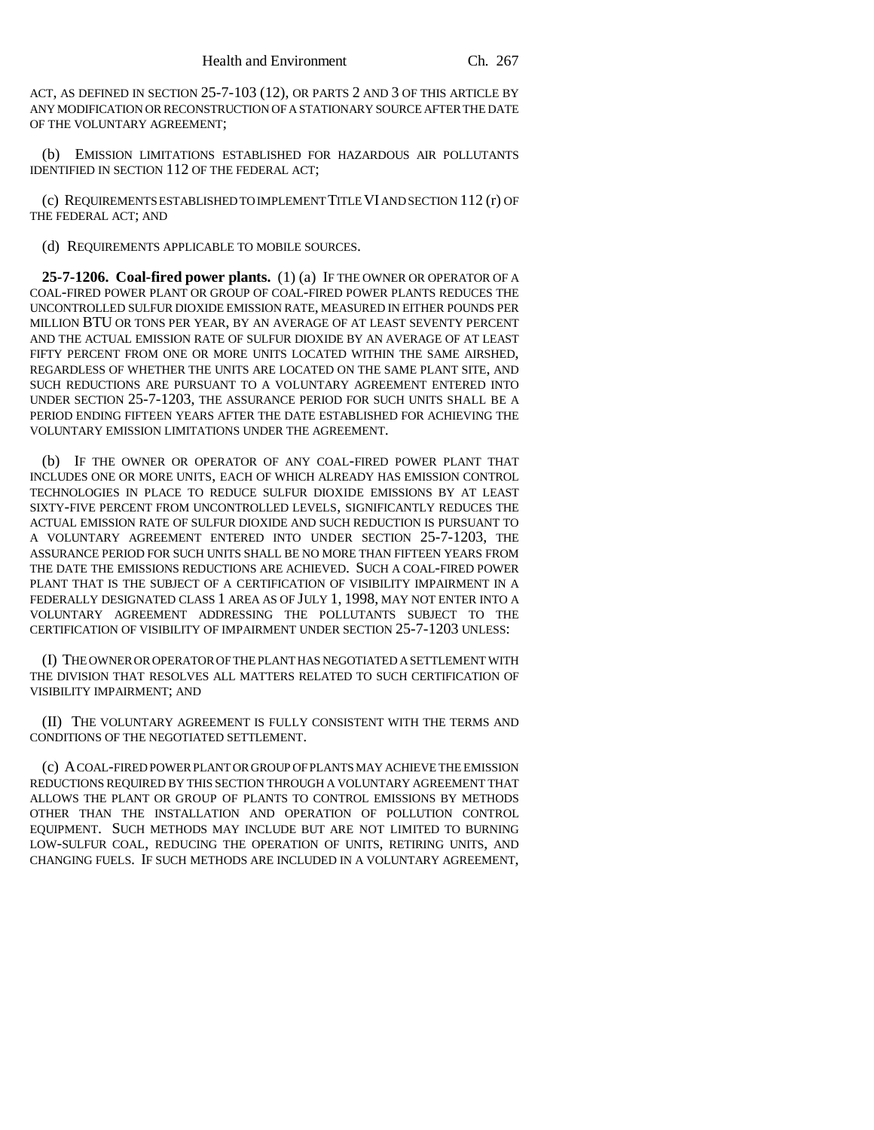ACT, AS DEFINED IN SECTION 25-7-103 (12), OR PARTS 2 AND 3 OF THIS ARTICLE BY ANY MODIFICATION OR RECONSTRUCTION OF A STATIONARY SOURCE AFTER THE DATE OF THE VOLUNTARY AGREEMENT;

(b) EMISSION LIMITATIONS ESTABLISHED FOR HAZARDOUS AIR POLLUTANTS IDENTIFIED IN SECTION 112 OF THE FEDERAL ACT;

(c) REQUIREMENTS ESTABLISHED TO IMPLEMENT TITLE VI AND SECTION 112 (r) OF THE FEDERAL ACT; AND

(d) REQUIREMENTS APPLICABLE TO MOBILE SOURCES.

**25-7-1206. Coal-fired power plants.** (1) (a) IF THE OWNER OR OPERATOR OF A COAL-FIRED POWER PLANT OR GROUP OF COAL-FIRED POWER PLANTS REDUCES THE UNCONTROLLED SULFUR DIOXIDE EMISSION RATE, MEASURED IN EITHER POUNDS PER MILLION BTU OR TONS PER YEAR, BY AN AVERAGE OF AT LEAST SEVENTY PERCENT AND THE ACTUAL EMISSION RATE OF SULFUR DIOXIDE BY AN AVERAGE OF AT LEAST FIFTY PERCENT FROM ONE OR MORE UNITS LOCATED WITHIN THE SAME AIRSHED, REGARDLESS OF WHETHER THE UNITS ARE LOCATED ON THE SAME PLANT SITE, AND SUCH REDUCTIONS ARE PURSUANT TO A VOLUNTARY AGREEMENT ENTERED INTO UNDER SECTION 25-7-1203, THE ASSURANCE PERIOD FOR SUCH UNITS SHALL BE A PERIOD ENDING FIFTEEN YEARS AFTER THE DATE ESTABLISHED FOR ACHIEVING THE VOLUNTARY EMISSION LIMITATIONS UNDER THE AGREEMENT.

(b) IF THE OWNER OR OPERATOR OF ANY COAL-FIRED POWER PLANT THAT INCLUDES ONE OR MORE UNITS, EACH OF WHICH ALREADY HAS EMISSION CONTROL TECHNOLOGIES IN PLACE TO REDUCE SULFUR DIOXIDE EMISSIONS BY AT LEAST SIXTY-FIVE PERCENT FROM UNCONTROLLED LEVELS, SIGNIFICANTLY REDUCES THE ACTUAL EMISSION RATE OF SULFUR DIOXIDE AND SUCH REDUCTION IS PURSUANT TO A VOLUNTARY AGREEMENT ENTERED INTO UNDER SECTION 25-7-1203, THE ASSURANCE PERIOD FOR SUCH UNITS SHALL BE NO MORE THAN FIFTEEN YEARS FROM THE DATE THE EMISSIONS REDUCTIONS ARE ACHIEVED. SUCH A COAL-FIRED POWER PLANT THAT IS THE SUBJECT OF A CERTIFICATION OF VISIBILITY IMPAIRMENT IN A FEDERALLY DESIGNATED CLASS 1 AREA AS OF JULY 1, 1998, MAY NOT ENTER INTO A VOLUNTARY AGREEMENT ADDRESSING THE POLLUTANTS SUBJECT TO THE CERTIFICATION OF VISIBILITY OF IMPAIRMENT UNDER SECTION 25-7-1203 UNLESS:

(I) THE OWNER OR OPERATOR OF THE PLANT HAS NEGOTIATED A SETTLEMENT WITH THE DIVISION THAT RESOLVES ALL MATTERS RELATED TO SUCH CERTIFICATION OF VISIBILITY IMPAIRMENT; AND

(II) THE VOLUNTARY AGREEMENT IS FULLY CONSISTENT WITH THE TERMS AND CONDITIONS OF THE NEGOTIATED SETTLEMENT.

(c) A COAL-FIRED POWER PLANT OR GROUP OF PLANTS MAY ACHIEVE THE EMISSION REDUCTIONS REQUIRED BY THIS SECTION THROUGH A VOLUNTARY AGREEMENT THAT ALLOWS THE PLANT OR GROUP OF PLANTS TO CONTROL EMISSIONS BY METHODS OTHER THAN THE INSTALLATION AND OPERATION OF POLLUTION CONTROL EQUIPMENT. SUCH METHODS MAY INCLUDE BUT ARE NOT LIMITED TO BURNING LOW-SULFUR COAL, REDUCING THE OPERATION OF UNITS, RETIRING UNITS, AND CHANGING FUELS. IF SUCH METHODS ARE INCLUDED IN A VOLUNTARY AGREEMENT,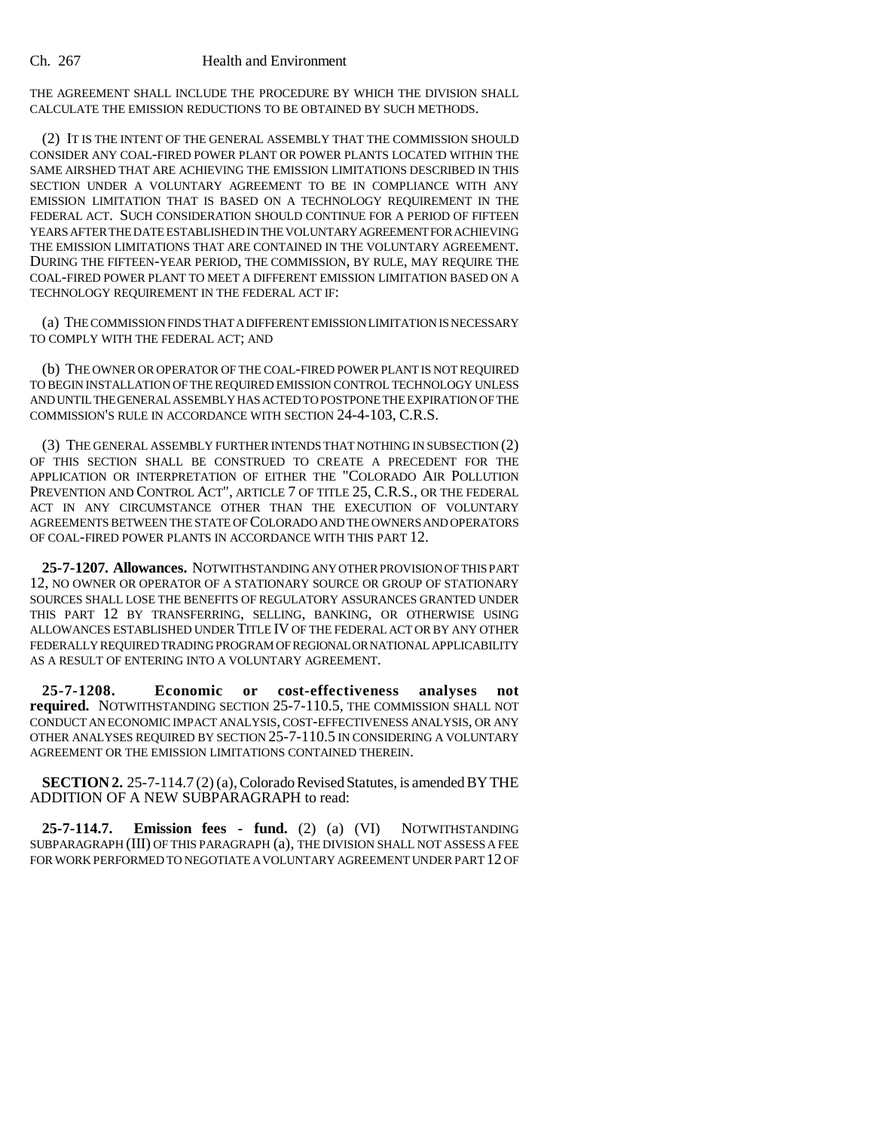#### Ch. 267 Health and Environment

THE AGREEMENT SHALL INCLUDE THE PROCEDURE BY WHICH THE DIVISION SHALL CALCULATE THE EMISSION REDUCTIONS TO BE OBTAINED BY SUCH METHODS.

(2) IT IS THE INTENT OF THE GENERAL ASSEMBLY THAT THE COMMISSION SHOULD CONSIDER ANY COAL-FIRED POWER PLANT OR POWER PLANTS LOCATED WITHIN THE SAME AIRSHED THAT ARE ACHIEVING THE EMISSION LIMITATIONS DESCRIBED IN THIS SECTION UNDER A VOLUNTARY AGREEMENT TO BE IN COMPLIANCE WITH ANY EMISSION LIMITATION THAT IS BASED ON A TECHNOLOGY REQUIREMENT IN THE FEDERAL ACT. SUCH CONSIDERATION SHOULD CONTINUE FOR A PERIOD OF FIFTEEN YEARS AFTER THE DATE ESTABLISHED IN THE VOLUNTARY AGREEMENT FOR ACHIEVING THE EMISSION LIMITATIONS THAT ARE CONTAINED IN THE VOLUNTARY AGREEMENT. DURING THE FIFTEEN-YEAR PERIOD, THE COMMISSION, BY RULE, MAY REQUIRE THE COAL-FIRED POWER PLANT TO MEET A DIFFERENT EMISSION LIMITATION BASED ON A TECHNOLOGY REQUIREMENT IN THE FEDERAL ACT IF:

(a) THE COMMISSION FINDS THAT A DIFFERENT EMISSION LIMITATION IS NECESSARY TO COMPLY WITH THE FEDERAL ACT; AND

(b) THE OWNER OR OPERATOR OF THE COAL-FIRED POWER PLANT IS NOT REQUIRED TO BEGIN INSTALLATION OF THE REQUIRED EMISSION CONTROL TECHNOLOGY UNLESS AND UNTIL THE GENERAL ASSEMBLY HAS ACTED TO POSTPONE THE EXPIRATION OF THE COMMISSION'S RULE IN ACCORDANCE WITH SECTION 24-4-103, C.R.S.

(3) THE GENERAL ASSEMBLY FURTHER INTENDS THAT NOTHING IN SUBSECTION (2) OF THIS SECTION SHALL BE CONSTRUED TO CREATE A PRECEDENT FOR THE APPLICATION OR INTERPRETATION OF EITHER THE "COLORADO AIR POLLUTION PREVENTION AND CONTROL ACT", ARTICLE 7 OF TITLE 25, C.R.S., OR THE FEDERAL ACT IN ANY CIRCUMSTANCE OTHER THAN THE EXECUTION OF VOLUNTARY AGREEMENTS BETWEEN THE STATE OF COLORADO AND THE OWNERS AND OPERATORS OF COAL-FIRED POWER PLANTS IN ACCORDANCE WITH THIS PART 12.

**25-7-1207. Allowances.** NOTWITHSTANDING ANY OTHER PROVISION OF THIS PART 12, NO OWNER OR OPERATOR OF A STATIONARY SOURCE OR GROUP OF STATIONARY SOURCES SHALL LOSE THE BENEFITS OF REGULATORY ASSURANCES GRANTED UNDER THIS PART 12 BY TRANSFERRING, SELLING, BANKING, OR OTHERWISE USING ALLOWANCES ESTABLISHED UNDER TITLE IV OF THE FEDERAL ACT OR BY ANY OTHER FEDERALLY REQUIRED TRADING PROGRAM OF REGIONAL OR NATIONAL APPLICABILITY AS A RESULT OF ENTERING INTO A VOLUNTARY AGREEMENT.

**25-7-1208. Economic or cost-effectiveness analyses not required.** NOTWITHSTANDING SECTION 25-7-110.5, THE COMMISSION SHALL NOT CONDUCT AN ECONOMIC IMPACT ANALYSIS, COST-EFFECTIVENESS ANALYSIS, OR ANY OTHER ANALYSES REQUIRED BY SECTION 25-7-110.5 IN CONSIDERING A VOLUNTARY AGREEMENT OR THE EMISSION LIMITATIONS CONTAINED THEREIN.

**SECTION 2.** 25-7-114.7 (2) (a), Colorado Revised Statutes, is amended BY THE ADDITION OF A NEW SUBPARAGRAPH to read:

**25-7-114.7. Emission fees - fund.** (2) (a) (VI) NOTWITHSTANDING SUBPARAGRAPH (III) OF THIS PARAGRAPH (a), THE DIVISION SHALL NOT ASSESS A FEE FOR WORK PERFORMED TO NEGOTIATE A VOLUNTARY AGREEMENT UNDER PART 12 OF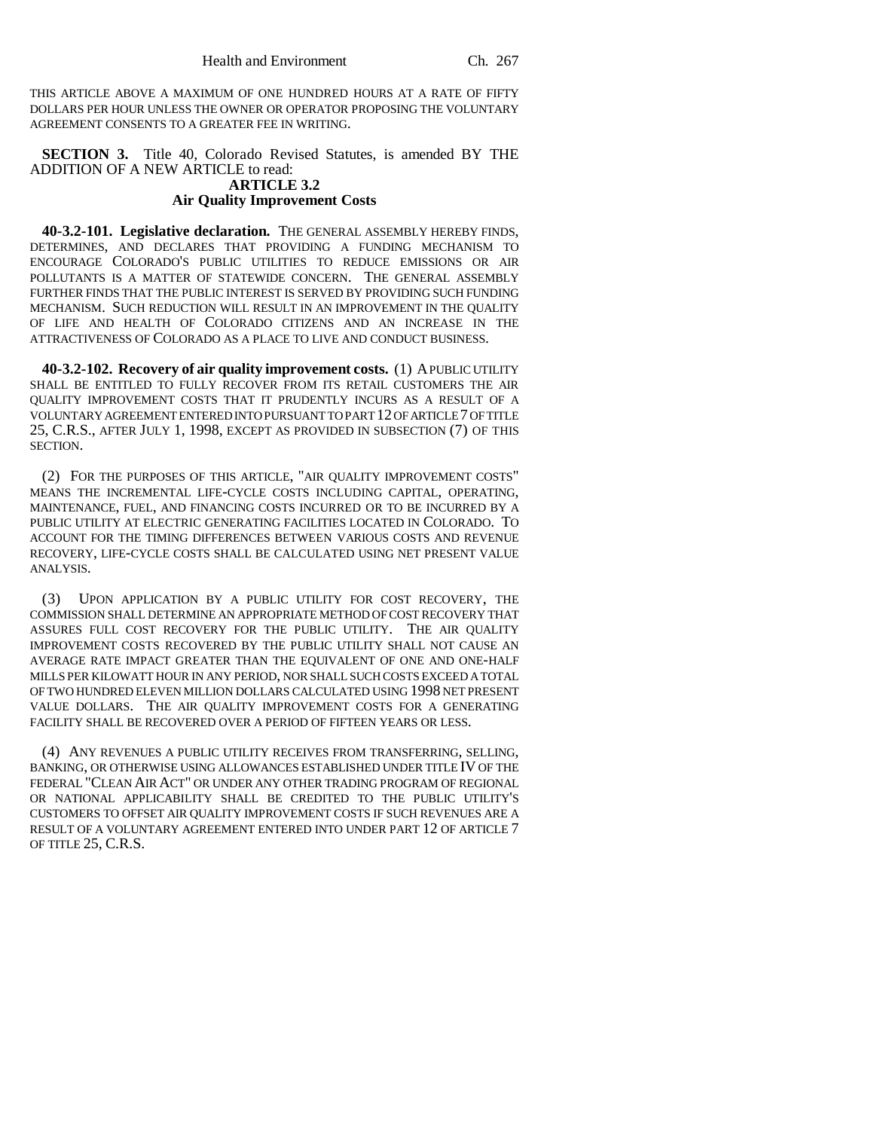THIS ARTICLE ABOVE A MAXIMUM OF ONE HUNDRED HOURS AT A RATE OF FIFTY DOLLARS PER HOUR UNLESS THE OWNER OR OPERATOR PROPOSING THE VOLUNTARY AGREEMENT CONSENTS TO A GREATER FEE IN WRITING.

**SECTION 3.** Title 40, Colorado Revised Statutes, is amended BY THE ADDITION OF A NEW ARTICLE to read:

#### **ARTICLE 3.2 Air Quality Improvement Costs**

**40-3.2-101. Legislative declaration.** THE GENERAL ASSEMBLY HEREBY FINDS, DETERMINES, AND DECLARES THAT PROVIDING A FUNDING MECHANISM TO ENCOURAGE COLORADO'S PUBLIC UTILITIES TO REDUCE EMISSIONS OR AIR POLLUTANTS IS A MATTER OF STATEWIDE CONCERN. THE GENERAL ASSEMBLY FURTHER FINDS THAT THE PUBLIC INTEREST IS SERVED BY PROVIDING SUCH FUNDING MECHANISM. SUCH REDUCTION WILL RESULT IN AN IMPROVEMENT IN THE QUALITY OF LIFE AND HEALTH OF COLORADO CITIZENS AND AN INCREASE IN THE ATTRACTIVENESS OF COLORADO AS A PLACE TO LIVE AND CONDUCT BUSINESS.

**40-3.2-102. Recovery of air quality improvement costs.** (1) A PUBLIC UTILITY SHALL BE ENTITLED TO FULLY RECOVER FROM ITS RETAIL CUSTOMERS THE AIR QUALITY IMPROVEMENT COSTS THAT IT PRUDENTLY INCURS AS A RESULT OF A VOLUNTARY AGREEMENT ENTERED INTO PURSUANT TO PART 12 OF ARTICLE 7 OF TITLE 25, C.R.S., AFTER JULY 1, 1998, EXCEPT AS PROVIDED IN SUBSECTION (7) OF THIS SECTION.

(2) FOR THE PURPOSES OF THIS ARTICLE, "AIR QUALITY IMPROVEMENT COSTS" MEANS THE INCREMENTAL LIFE-CYCLE COSTS INCLUDING CAPITAL, OPERATING, MAINTENANCE, FUEL, AND FINANCING COSTS INCURRED OR TO BE INCURRED BY A PUBLIC UTILITY AT ELECTRIC GENERATING FACILITIES LOCATED IN COLORADO. TO ACCOUNT FOR THE TIMING DIFFERENCES BETWEEN VARIOUS COSTS AND REVENUE RECOVERY, LIFE-CYCLE COSTS SHALL BE CALCULATED USING NET PRESENT VALUE ANALYSIS.

(3) UPON APPLICATION BY A PUBLIC UTILITY FOR COST RECOVERY, THE COMMISSION SHALL DETERMINE AN APPROPRIATE METHOD OF COST RECOVERY THAT ASSURES FULL COST RECOVERY FOR THE PUBLIC UTILITY. THE AIR QUALITY IMPROVEMENT COSTS RECOVERED BY THE PUBLIC UTILITY SHALL NOT CAUSE AN AVERAGE RATE IMPACT GREATER THAN THE EQUIVALENT OF ONE AND ONE-HALF MILLS PER KILOWATT HOUR IN ANY PERIOD, NOR SHALL SUCH COSTS EXCEED A TOTAL OF TWO HUNDRED ELEVEN MILLION DOLLARS CALCULATED USING 1998 NET PRESENT VALUE DOLLARS. THE AIR QUALITY IMPROVEMENT COSTS FOR A GENERATING FACILITY SHALL BE RECOVERED OVER A PERIOD OF FIFTEEN YEARS OR LESS.

(4) ANY REVENUES A PUBLIC UTILITY RECEIVES FROM TRANSFERRING, SELLING, BANKING, OR OTHERWISE USING ALLOWANCES ESTABLISHED UNDER TITLE IV OF THE FEDERAL "CLEAN AIR ACT" OR UNDER ANY OTHER TRADING PROGRAM OF REGIONAL OR NATIONAL APPLICABILITY SHALL BE CREDITED TO THE PUBLIC UTILITY'S CUSTOMERS TO OFFSET AIR QUALITY IMPROVEMENT COSTS IF SUCH REVENUES ARE A RESULT OF A VOLUNTARY AGREEMENT ENTERED INTO UNDER PART 12 OF ARTICLE 7 OF TITLE 25, C.R.S.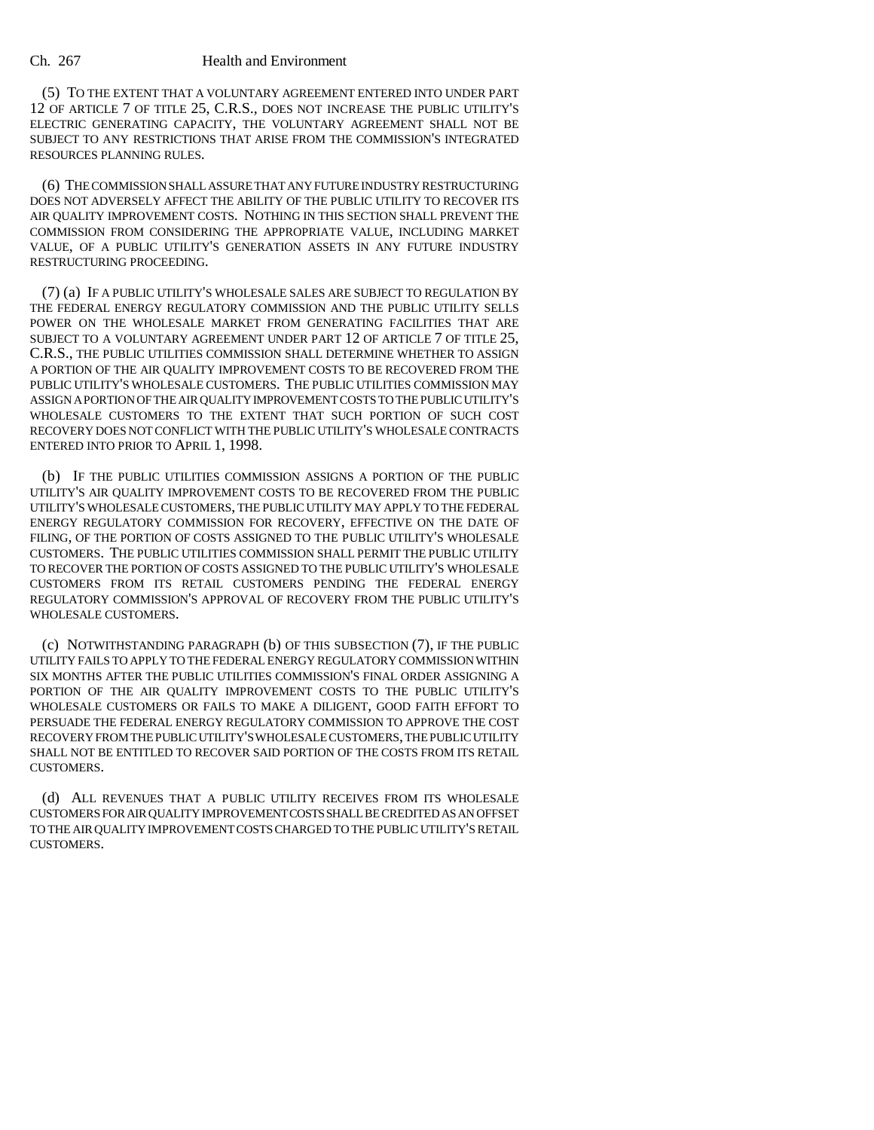#### Ch. 267 Health and Environment

(5) TO THE EXTENT THAT A VOLUNTARY AGREEMENT ENTERED INTO UNDER PART 12 OF ARTICLE 7 OF TITLE 25, C.R.S., DOES NOT INCREASE THE PUBLIC UTILITY'S ELECTRIC GENERATING CAPACITY, THE VOLUNTARY AGREEMENT SHALL NOT BE SUBJECT TO ANY RESTRICTIONS THAT ARISE FROM THE COMMISSION'S INTEGRATED RESOURCES PLANNING RULES.

(6) THE COMMISSION SHALL ASSURE THAT ANY FUTURE INDUSTRY RESTRUCTURING DOES NOT ADVERSELY AFFECT THE ABILITY OF THE PUBLIC UTILITY TO RECOVER ITS AIR QUALITY IMPROVEMENT COSTS. NOTHING IN THIS SECTION SHALL PREVENT THE COMMISSION FROM CONSIDERING THE APPROPRIATE VALUE, INCLUDING MARKET VALUE, OF A PUBLIC UTILITY'S GENERATION ASSETS IN ANY FUTURE INDUSTRY RESTRUCTURING PROCEEDING.

(7) (a) IF A PUBLIC UTILITY'S WHOLESALE SALES ARE SUBJECT TO REGULATION BY THE FEDERAL ENERGY REGULATORY COMMISSION AND THE PUBLIC UTILITY SELLS POWER ON THE WHOLESALE MARKET FROM GENERATING FACILITIES THAT ARE SUBJECT TO A VOLUNTARY AGREEMENT UNDER PART 12 OF ARTICLE 7 OF TITLE 25, C.R.S., THE PUBLIC UTILITIES COMMISSION SHALL DETERMINE WHETHER TO ASSIGN A PORTION OF THE AIR QUALITY IMPROVEMENT COSTS TO BE RECOVERED FROM THE PUBLIC UTILITY'S WHOLESALE CUSTOMERS. THE PUBLIC UTILITIES COMMISSION MAY ASSIGN A PORTION OF THE AIR QUALITY IMPROVEMENT COSTS TO THE PUBLIC UTILITY'S WHOLESALE CUSTOMERS TO THE EXTENT THAT SUCH PORTION OF SUCH COST RECOVERY DOES NOT CONFLICT WITH THE PUBLIC UTILITY'S WHOLESALE CONTRACTS ENTERED INTO PRIOR TO APRIL 1, 1998.

(b) IF THE PUBLIC UTILITIES COMMISSION ASSIGNS A PORTION OF THE PUBLIC UTILITY'S AIR QUALITY IMPROVEMENT COSTS TO BE RECOVERED FROM THE PUBLIC UTILITY'S WHOLESALE CUSTOMERS, THE PUBLIC UTILITY MAY APPLY TO THE FEDERAL ENERGY REGULATORY COMMISSION FOR RECOVERY, EFFECTIVE ON THE DATE OF FILING, OF THE PORTION OF COSTS ASSIGNED TO THE PUBLIC UTILITY'S WHOLESALE CUSTOMERS. THE PUBLIC UTILITIES COMMISSION SHALL PERMIT THE PUBLIC UTILITY TO RECOVER THE PORTION OF COSTS ASSIGNED TO THE PUBLIC UTILITY'S WHOLESALE CUSTOMERS FROM ITS RETAIL CUSTOMERS PENDING THE FEDERAL ENERGY REGULATORY COMMISSION'S APPROVAL OF RECOVERY FROM THE PUBLIC UTILITY'S WHOLESALE CUSTOMERS.

(c) NOTWITHSTANDING PARAGRAPH (b) OF THIS SUBSECTION (7), IF THE PUBLIC UTILITY FAILS TO APPLY TO THE FEDERAL ENERGY REGULATORY COMMISSION WITHIN SIX MONTHS AFTER THE PUBLIC UTILITIES COMMISSION'S FINAL ORDER ASSIGNING A PORTION OF THE AIR QUALITY IMPROVEMENT COSTS TO THE PUBLIC UTILITY'S WHOLESALE CUSTOMERS OR FAILS TO MAKE A DILIGENT, GOOD FAITH EFFORT TO PERSUADE THE FEDERAL ENERGY REGULATORY COMMISSION TO APPROVE THE COST RECOVERY FROM THE PUBLIC UTILITY'S WHOLESALE CUSTOMERS, THE PUBLIC UTILITY SHALL NOT BE ENTITLED TO RECOVER SAID PORTION OF THE COSTS FROM ITS RETAIL CUSTOMERS.

(d) ALL REVENUES THAT A PUBLIC UTILITY RECEIVES FROM ITS WHOLESALE CUSTOMERS FOR AIR QUALITY IMPROVEMENT COSTS SHALL BE CREDITED AS AN OFFSET TO THE AIR QUALITY IMPROVEMENT COSTS CHARGED TO THE PUBLIC UTILITY'S RETAIL CUSTOMERS.